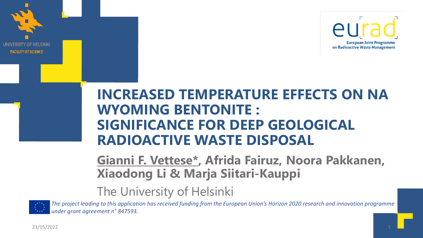

### **INCREASED TEMPERATURE EFFECTS ON NA WYOMING BENTONITE : SIGNIFICANCE FOR DEEP GEOLOGICAL RADIOACTIVE WASTE DISPOSAL**

**Gianni F. Vettese\*, Afrida Fairuz, Noora Pakkanen, Xiaodong Li & Marja Siitari-Kauppi**

### The University of Helsinki



**OF HELSINKI** 

**FACULTY OF SCIENCE** 

*The project leading to this application has received funding from the European Union's Horizon 2020 research and innovation programme under grant agreement n° 847593.*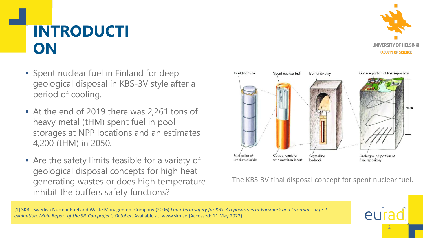# **INTRODUCTI ON**

- Spent nuclear fuel in Finland for deep geological disposal in KBS-3V style after a period of cooling.
- At the end of 2019 there was 2,261 tons of heavy metal (tHM) spent fuel in pool storages at NPP locations and an estimates 4,200 (tHM) in 2050.
- **Example 3 Are the safety limits feasible for a variety of** geological disposal concepts for high heat generating wastes or does high temperature inhibit the buffers safety functions?



2

eur



#### The KBS-3V final disposal concept for spent nuclear fuel.

[1] SKB - Swedish Nuclear Fuel and Waste Management Company (2006) *Long-term safety for KBS-3 repositories at Forsmark and Laxemar – a first evaluation. Main Report of the SR-Can project*, *October*. Available at: www.skb.se (Accessed: 11 May 2022).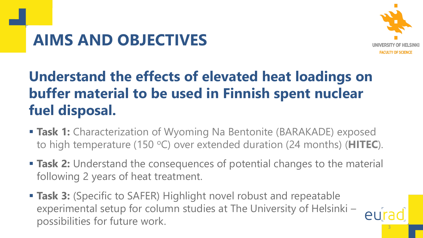# **AIMS AND OBJECTIVES**



3

# **Understand the effects of elevated heat loadings on buffer material to be used in Finnish spent nuclear fuel disposal.**

- **Task 1:** Characterization of Wyoming Na Bentonite (BARAKADE) exposed to high temperature (150 °C) over extended duration (24 months) (HITEC).
- **Task 2:** Understand the consequences of potential changes to the material following 2 years of heat treatment.
- **Task 3:** (Specific to SAFER) Highlight novel robust and repeatable experimental setup for column studies at The University of Helsinki – possibilities for future work.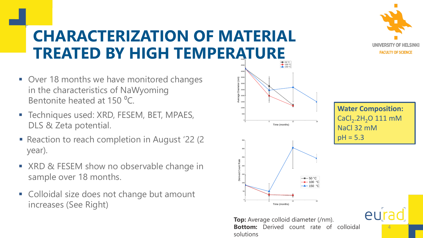# **CHARACTERIZATION OF MATERIAL TREATED BY HIGH TEMPERATURE**

- Over 18 months we have monitored changes in the characteristics of NaWyoming Bentonite heated at 150 °C.
- **EXECUTE: The Channel State State State State State Techniques used: XRD, FESEM, BET, MPAES,** DLS & Zeta potential.
- Reaction to reach completion in August '22 (2) year).
- XRD & FESEM show no observable change in sample over 18 months.
- Colloidal size does not change but amount increases (See Right)





**Water Composition:**  $\textsf{CaCl}_{2}$ .2H<sub>2</sub>O 111 mM NaCl 32 mM  $pH = 5.3$ 

4

eur

**Top:** Average colloid diameter (/nm). **Bottom:** Derived count rate of colloidal Time (months)<br> **Top:** Average colloid diameter (/nm)<br> **Bottom:** Derived count rate of solutions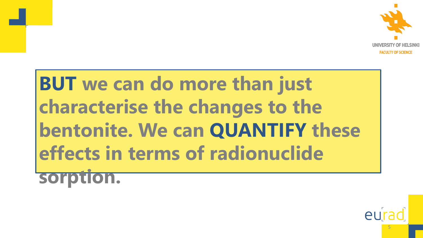

5

# **BUT we can do more than just characterise the changes to the bentonite. We can QUANTIFY these effects in terms of radionuclide sorption.**

eu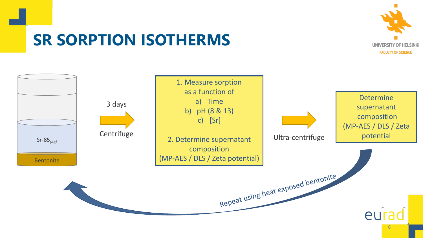

## **SR SORPTION ISOTHERMS**

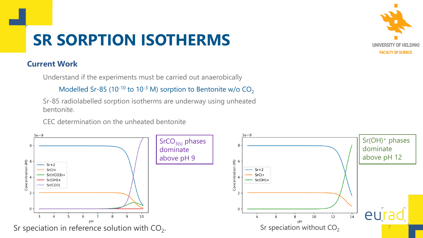# **SR SORPTION ISOTHERMS**

#### **Current Work**

Understand if the experiments must be carried out anaerobically

Modelled Sr-85 (10<sup>-10</sup> to 10<sup>-3</sup> M) sorption to Bentonite w/o  $CO<sub>2</sub>$ 

Sr-85 radiolabelled sorption isotherms are underway using unheated bentonite.

CEC determination on the unheated bentonite



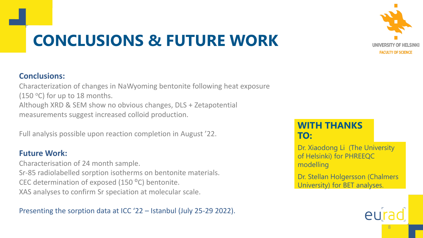

# **CONCLUSIONS & FUTURE WORK**

#### **Conclusions:**

Characterization of changes in NaWyoming bentonite following heat exposure (150  $\circ$ C) for up to 18 months. Although XRD & SEM show no obvious changes, DLS + Zetapotential measurements suggest increased colloid production.

Full analysis possible upon reaction completion in August '22.

#### **Future Work:**

Characterisation of 24 month sample. Sr-85 radiolabelled sorption isotherms on bentonite materials. CEC determination of exposed (150 °C) bentonite. XAS analyses to confirm Sr speciation at molecular scale.

Presenting the sorption data at ICC '22 – Istanbul (July 25-29 2022).

### **WITH THANKS TO:**

Dr. Xiaodong Li (The University of Helsinki) for PHREEQC modelling

Dr. Stellan Holgersson (Chalmers University) for BET analyses.